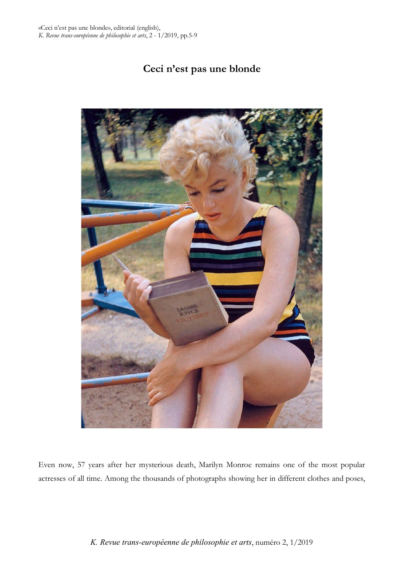# **Ceci n'est pas une blonde**



Even now, 57 years after her mysterious death, Marilyn Monroe remains one of the most popular actresses of all time. Among the thousands of photographs showing her in different clothes and poses,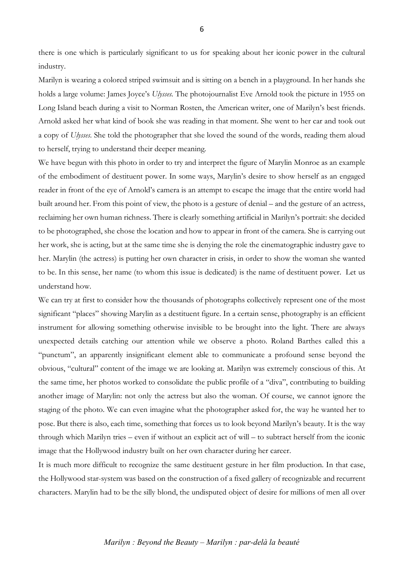there is one which is particularly significant to us for speaking about her iconic power in the cultural industry.

Marilyn is wearing a colored striped swimsuit and is sitting on a bench in a playground. In her hands she holds a large volume: James Joyce's *Ulysses.* The photojournalist Eve Arnold took the picture in 1955 on Long Island beach during a visit to Norman Rosten, the American writer, one of Marilyn's best friends. Arnold asked her what kind of book she was reading in that moment. She went to her car and took out a copy of *Ulysses.* She told the photographer that she loved the sound of the words, reading them aloud to herself, trying to understand their deeper meaning.

We have begun with this photo in order to try and interpret the figure of Marylin Monroe as an example of the embodiment of destituent power. In some ways, Marylin's desire to show herself as an engaged reader in front of the eye of Arnold's camera is an attempt to escape the image that the entire world had built around her. From this point of view, the photo is a gesture of denial – and the gesture of an actress, reclaiming her own human richness. There is clearly something artificial in Marilyn's portrait: she decided to be photographed, she chose the location and how to appear in front of the camera. She is carrying out her work, she is acting, but at the same time she is denying the role the cinematographic industry gave to her. Marylin (the actress) is putting her own character in crisis, in order to show the woman she wanted to be. In this sense, her name (to whom this issue is dedicated) is the name of destituent power. Let us understand how.

We can try at first to consider how the thousands of photographs collectively represent one of the most significant "places" showing Marylin as a destituent figure. In a certain sense, photography is an efficient instrument for allowing something otherwise invisible to be brought into the light. There are always unexpected details catching our attention while we observe a photo. Roland Barthes called this a "punctum", an apparently insignificant element able to communicate a profound sense beyond the obvious, "cultural" content of the image we are looking at. Marilyn was extremely conscious of this. At the same time, her photos worked to consolidate the public profile of a "diva", contributing to building another image of Marylin: not only the actress but also the woman. Of course, we cannot ignore the staging of the photo. We can even imagine what the photographer asked for, the way he wanted her to pose. But there is also, each time, something that forces us to look beyond Marilyn's beauty. It is the way through which Marilyn tries – even if without an explicit act of will – to subtract herself from the iconic image that the Hollywood industry built on her own character during her career.

It is much more difficult to recognize the same destituent gesture in her film production. In that case, the Hollywood star-system was based on the construction of a fixed gallery of recognizable and recurrent characters. Marylin had to be the silly blond, the undisputed object of desire for millions of men all over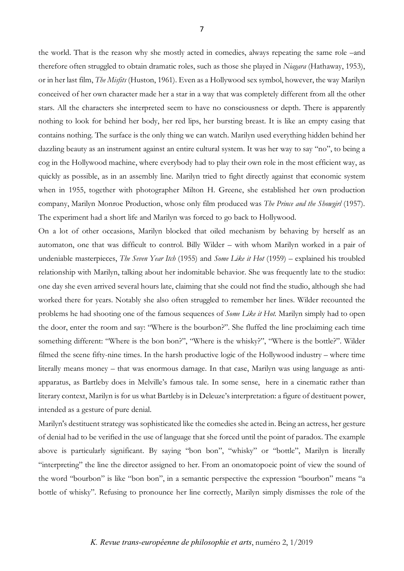the world. That is the reason why she mostly acted in comedies, always repeating the same role –and therefore often struggled to obtain dramatic roles, such as those she played in *Niagara* (Hathaway, 1953), or in her last film, *The Misfits* (Huston, 1961). Even as a Hollywood sex symbol, however, the way Marilyn conceived of her own character made her a star in a way that was completely different from all the other stars. All the characters she interpreted seem to have no consciousness or depth. There is apparently nothing to look for behind her body, her red lips, her bursting breast. It is like an empty casing that contains nothing. The surface is the only thing we can watch. Marilyn used everything hidden behind her dazzling beauty as an instrument against an entire cultural system. It was her way to say "no", to being a cog in the Hollywood machine, where everybody had to play their own role in the most efficient way, as quickly as possible, as in an assembly line. Marilyn tried to fight directly against that economic system when in 1955, together with photographer Milton H. Greene, she established her own production company, Marilyn Monroe Production, whose only film produced was *The Prince and the Showgirl* (1957). The experiment had a short life and Marilyn was forced to go back to Hollywood.

On a lot of other occasions, Marilyn blocked that oiled mechanism by behaving by herself as an automaton, one that was difficult to control. Billy Wilder – with whom Marilyn worked in a pair of undeniable masterpieces, *The Seven Year Itch* (1955) and *Some Like it Hot* (1959) – explained his troubled relationship with Marilyn, talking about her indomitable behavior. She was frequently late to the studio: one day she even arrived several hours late, claiming that she could not find the studio, although she had worked there for years. Notably she also often struggled to remember her lines. Wilder recounted the problems he had shooting one of the famous sequences of *Some Like it Hot.* Marilyn simply had to open the door, enter the room and say: "Where is the bourbon?". She fluffed the line proclaiming each time something different: "Where is the bon bon?", "Where is the whisky?", "Where is the bottle?". Wilder filmed the scene fifty-nine times. In the harsh productive logic of the Hollywood industry – where time literally means money – that was enormous damage. In that case, Marilyn was using language as antiapparatus, as Bartleby does in Melville's famous tale. In some sense, here in a cinematic rather than literary context, Marilyn is for us what Bartleby is in Deleuze's interpretation: a figure of destituent power, intended as a gesture of pure denial.

Marilyn's destituent strategy was sophisticated like the comedies she acted in. Being an actress, her gesture of denial had to be verified in the use of language that she forced until the point of paradox. The example above is particularly significant. By saying "bon bon", "whisky" or "bottle", Marilyn is literally "interpreting" the line the director assigned to her. From an onomatopoeic point of view the sound of the word "bourbon" is like "bon bon", in a semantic perspective the expression "bourbon" means "a bottle of whisky". Refusing to pronounce her line correctly, Marilyn simply dismisses the role of the

### 7

### *K. Revue trans-européenne de philosophie et arts*, numéro 2, 1/2019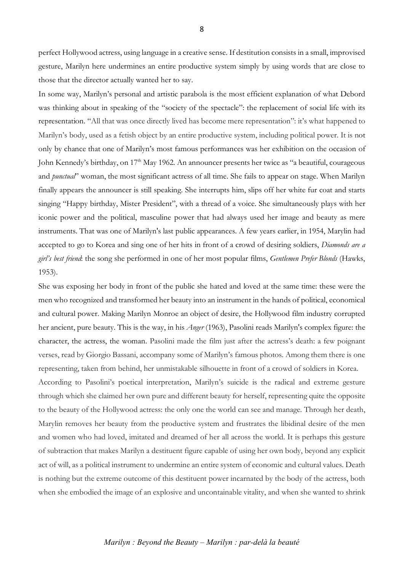perfect Hollywood actress, using language in a creative sense. If destitution consists in a small, improvised gesture, Marilyn here undermines an entire productive system simply by using words that are close to those that the director actually wanted her to say.

In some way, Marilyn's personal and artistic parabola is the most efficient explanation of what Debord was thinking about in speaking of the "society of the spectacle": the replacement of social life with its representation. "All that was once directly lived has become mere representation": it's what happened to Marilyn's body, used as a fetish object by an entire productive system, including political power. It is not only by chance that one of Marilyn's most famous performances was her exhibition on the occasion of John Kennedy's birthday, on 17<sup>th</sup> May 1962. An announcer presents her twice as "a beautiful, courageous and *punctual*" woman, the most significant actress of all time. She fails to appear on stage. When Marilyn finally appears the announcer is still speaking. She interrupts him, slips off her white fur coat and starts singing "Happy birthday, Mister President", with a thread of a voice. She simultaneously plays with her iconic power and the political, masculine power that had always used her image and beauty as mere instruments. That was one of Marilyn's last public appearances. A few years earlier, in 1954, Marylin had accepted to go to Korea and sing one of her hits in front of a crowd of desiring soldiers, *Diamonds are a girl's best friend*: the song she performed in one of her most popular films, *Gentlemen Prefer Blonds* (Hawks, 1953).

She was exposing her body in front of the public she hated and loved at the same time: these were the men who recognized and transformed her beauty into an instrument in the hands of political, economical and cultural power. Making Marilyn Monroe an object of desire, the Hollywood film industry corrupted her ancient, pure beauty. This is the way, in his *Anger* (1963), Pasolini reads Marilyn's complex figure: the character, the actress, the woman. Pasolini made the film just after the actress's death: a few poignant verses, read by Giorgio Bassani, accompany some of Marilyn's famous photos. Among them there is one representing, taken from behind, her unmistakable silhouette in front of a crowd of soldiers in Korea. According to Pasolini's poetical interpretation, Marilyn's suicide is the radical and extreme gesture through which she claimed her own pure and different beauty for herself, representing quite the opposite to the beauty of the Hollywood actress: the only one the world can see and manage. Through her death, Marylin removes her beauty from the productive system and frustrates the libidinal desire of the men and women who had loved, imitated and dreamed of her all across the world. It is perhaps this gesture of subtraction that makes Marilyn a destituent figure capable of using her own body, beyond any explicit act of will, as a political instrument to undermine an entire system of economic and cultural values. Death is nothing but the extreme outcome of this destituent power incarnated by the body of the actress, both when she embodied the image of an explosive and uncontainable vitality, and when she wanted to shrink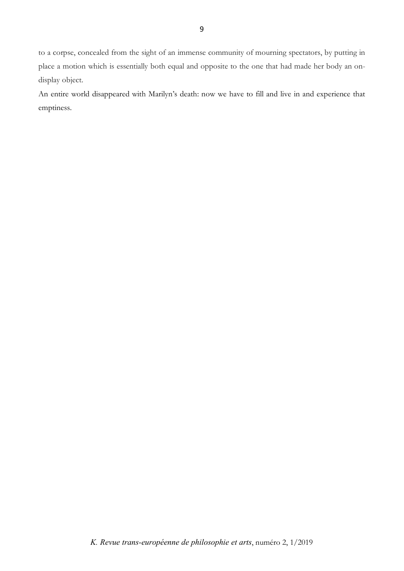to a corpse, concealed from the sight of an immense community of mourning spectators, by putting in place a motion which is essentially both equal and opposite to the one that had made her body an ondisplay object.

An entire world disappeared with Marilyn's death: now we have to fill and live in and experience that emptiness.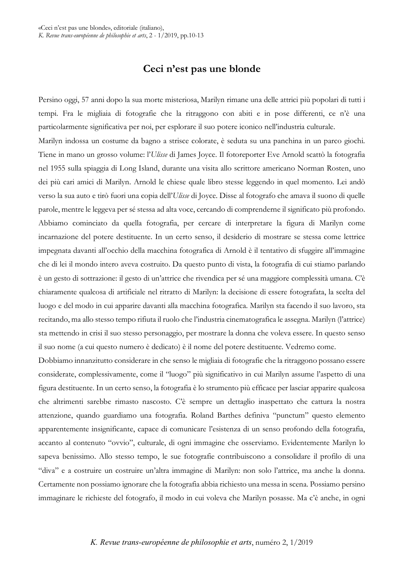## **Ceci n'est pas une blonde**

Persino oggi, 57 anni dopo la sua morte misteriosa, Marilyn rimane una delle attrici più popolari di tutti i tempi. Fra le migliaia di fotografie che la ritraggono con abiti e in pose differenti, ce n'è una particolarmente significativa per noi, per esplorare il suo potere iconico nell'industria culturale.

Marilyn indossa un costume da bagno a strisce colorate, è seduta su una panchina in un parco giochi. Tiene in mano un grosso volume: l'*Ulisse* di James Joyce. Il fotoreporter Eve Arnold scattò la fotografia nel 1955 sulla spiaggia di Long Island, durante una visita allo scrittore americano Norman Rosten, uno dei più cari amici di Marilyn. Arnold le chiese quale libro stesse leggendo in quel momento. Lei andò verso la sua auto e tirò fuori una copia dell'*Ulisse* di Joyce. Disse al fotografo che amava il suono di quelle parole, mentre le leggeva per sé stessa ad alta voce, cercando di comprenderne il significato più profondo. Abbiamo cominciato da quella fotografia, per cercare di interpretare la figura di Marilyn come incarnazione del potere destituente. In un certo senso, il desiderio di mostrare se stessa come lettrice impegnata davanti all'occhio della macchina fotografica di Arnold è il tentativo di sfuggire all'immagine che di lei il mondo intero aveva costruito. Da questo punto di vista, la fotografia di cui stiamo parlando è un gesto di sottrazione: il gesto di un'attrice che rivendica per sé una maggiore complessità umana. C'è chiaramente qualcosa di artificiale nel ritratto di Marilyn: la decisione di essere fotografata, la scelta del luogo e del modo in cui apparire davanti alla macchina fotografica. Marilyn sta facendo il suo lavoro, sta recitando, ma allo stesso tempo rifiuta il ruolo che l'industria cinematografica le assegna. Marilyn (l'attrice) sta mettendo in crisi il suo stesso personaggio, per mostrare la donna che voleva essere. In questo senso il suo nome (a cui questo numero è dedicato) è il nome del potere destituente. Vedremo come.

Dobbiamo innanzitutto considerare in che senso le migliaia di fotografie che la ritraggono possano essere considerate, complessivamente, come il "luogo" più significativo in cui Marilyn assume l'aspetto di una figura destituente. In un certo senso, la fotografia è lo strumento più efficace per lasciar apparire qualcosa che altrimenti sarebbe rimasto nascosto. C'è sempre un dettaglio inaspettato che cattura la nostra attenzione, quando guardiamo una fotografia. Roland Barthes definiva "punctum" questo elemento apparentemente insignificante, capace di comunicare l'esistenza di un senso profondo della fotografia, accanto al contenuto "ovvio", culturale, di ogni immagine che osserviamo. Evidentemente Marilyn lo sapeva benissimo. Allo stesso tempo, le sue fotografie contribuiscono a consolidare il profilo di una "diva" e a costruire un costruire un'altra immagine di Marilyn: non solo l'attrice, ma anche la donna. Certamente non possiamo ignorare che la fotografia abbia richiesto una messa in scena. Possiamo persino immaginare le richieste del fotografo, il modo in cui voleva che Marilyn posasse. Ma c'è anche, in ogni

### *K. Revue trans-européenne de philosophie et arts*, numéro 2, 1/2019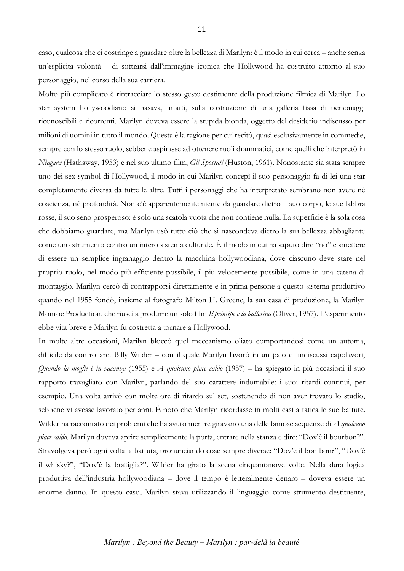caso, qualcosa che ci costringe a guardare oltre la bellezza di Marilyn: è il modo in cui cerca – anche senza un'esplicita volontà – di sottrarsi dall'immagine iconica che Hollywood ha costruito attorno al suo personaggio, nel corso della sua carriera.

Molto più complicato è rintracciare lo stesso gesto destituente della produzione filmica di Marilyn. Lo star system hollywoodiano si basava, infatti, sulla costruzione di una galleria fissa di personaggi riconoscibili e ricorrenti. Marilyn doveva essere la stupida bionda, oggetto del desiderio indiscusso per milioni di uomini in tutto il mondo. Questa è la ragione per cui recitò, quasi esclusivamente in commedie, sempre con lo stesso ruolo, sebbene aspirasse ad ottenere ruoli drammatici, come quelli che interpretò in *Niagara* (Hathaway, 1953) e nel suo ultimo film, *Gli Spostati* (Huston, 1961). Nonostante sia stata sempre uno dei sex symbol di Hollywood, il modo in cui Marilyn concepì il suo personaggio fa di lei una star completamente diversa da tutte le altre. Tutti i personaggi che ha interpretato sembrano non avere né coscienza, né profondità. Non c'è apparentemente niente da guardare dietro il suo corpo, le sue labbra rosse, il suo seno prosperoso: è solo una scatola vuota che non contiene nulla. La superficie è la sola cosa che dobbiamo guardare, ma Marilyn usò tutto ciò che si nascondeva dietro la sua bellezza abbagliante come uno strumento contro un intero sistema culturale. È il modo in cui ha saputo dire "no" e smettere di essere un semplice ingranaggio dentro la macchina hollywoodiana, dove ciascuno deve stare nel proprio ruolo, nel modo più efficiente possibile, il più velocemente possibile, come in una catena di montaggio. Marilyn cercò di contrapporsi direttamente e in prima persone a questo sistema produttivo quando nel 1955 fondò, insieme al fotografo Milton H. Greene, la sua casa di produzione, la Marilyn Monroe Production, che riuscì a produrre un solo film *Il principe e la ballerina* (Oliver, 1957). L'esperimento ebbe vita breve e Marilyn fu costretta a tornare a Hollywood.

In molte altre occasioni, Marilyn bloccò quel meccanismo oliato comportandosi come un automa, difficile da controllare. Billy Wilder – con il quale Marilyn lavorò in un paio di indiscussi capolavori, *Quando la moglie è in vacanza* (1955) e *A qualcuno piace caldo* (1957) – ha spiegato in più occasioni il suo rapporto travagliato con Marilyn, parlando del suo carattere indomabile: i suoi ritardi continui, per esempio. Una volta arrivò con molte ore di ritardo sul set, sostenendo di non aver trovato lo studio, sebbene vi avesse lavorato per anni. È noto che Marilyn ricordasse in molti casi a fatica le sue battute. Wilder ha raccontato dei problemi che ha avuto mentre giravano una delle famose sequenze di *A qualcuno piace caldo.* Marilyn doveva aprire semplicemente la porta, entrare nella stanza e dire: "Dov'è il bourbon?". Stravolgeva però ogni volta la battuta, pronunciando cose sempre diverse: "Dov'è il bon bon?", "Dov'è il whisky?", "Dov'è la bottiglia?". Wilder ha girato la scena cinquantanove volte. Nella dura logica produttiva dell'industria hollywoodiana – dove il tempo è letteralmente denaro – doveva essere un enorme danno. In questo caso, Marilyn stava utilizzando il linguaggio come strumento destituente,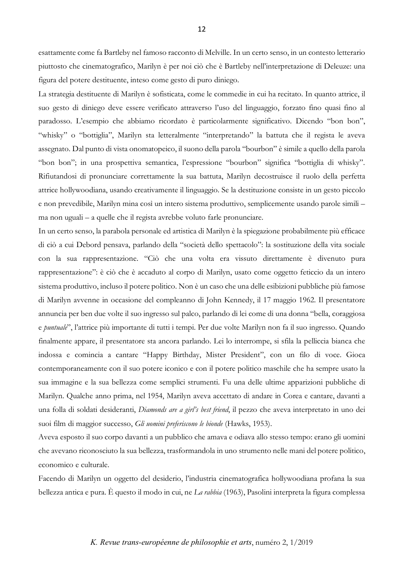esattamente come fa Bartleby nel famoso racconto di Melville. In un certo senso, in un contesto letterario piuttosto che cinematografico, Marilyn è per noi ciò che è Bartleby nell'interpretazione di Deleuze: una figura del potere destituente, inteso come gesto di puro diniego.

La strategia destituente di Marilyn è sofisticata, come le commedie in cui ha recitato. In quanto attrice, il suo gesto di diniego deve essere verificato attraverso l'uso del linguaggio, forzato fino quasi fino al paradosso. L'esempio che abbiamo ricordato è particolarmente significativo. Dicendo "bon bon", "whisky" o "bottiglia", Marilyn sta letteralmente "interpretando" la battuta che il regista le aveva assegnato. Dal punto di vista onomatopeico, il suono della parola "bourbon" è simile a quello della parola "bon bon"; in una prospettiva semantica, l'espressione "bourbon" significa "bottiglia di whisky". Rifiutandosi di pronunciare correttamente la sua battuta, Marilyn decostruisce il ruolo della perfetta attrice hollywoodiana, usando creativamente il linguaggio. Se la destituzione consiste in un gesto piccolo e non prevedibile, Marilyn mina così un intero sistema produttivo, semplicemente usando parole simili – ma non uguali – a quelle che il regista avrebbe voluto farle pronunciare.

In un certo senso, la parabola personale ed artistica di Marilyn è la spiegazione probabilmente più efficace di ciò a cui Debord pensava, parlando della "società dello spettacolo": la sostituzione della vita sociale con la sua rappresentazione. "Ciò che una volta era vissuto direttamente è divenuto pura rappresentazione": è ciò che è accaduto al corpo di Marilyn, usato come oggetto feticcio da un intero sistema produttivo, incluso il potere politico. Non è un caso che una delle esibizioni pubbliche più famose di Marilyn avvenne in occasione del compleanno di John Kennedy, il 17 maggio 1962. Il presentatore annuncia per ben due volte il suo ingresso sul palco, parlando di lei come di una donna "bella, coraggiosa e *puntuale*", l'attrice più importante di tutti i tempi. Per due volte Marilyn non fa il suo ingresso. Quando finalmente appare, il presentatore sta ancora parlando. Lei lo interrompe, si sfila la pelliccia bianca che indossa e comincia a cantare "Happy Birthday, Mister President", con un filo di voce. Gioca contemporaneamente con il suo potere iconico e con il potere politico maschile che ha sempre usato la sua immagine e la sua bellezza come semplici strumenti. Fu una delle ultime apparizioni pubbliche di Marilyn. Qualche anno prima, nel 1954, Marilyn aveva accettato di andare in Corea e cantare, davanti a una folla di soldati desideranti, *Diamonds are a girl's best friend*, il pezzo che aveva interpretato in uno dei suoi film di maggior successo, *Gli uomini preferiscono le bionde* (Hawks, 1953).

Aveva esposto il suo corpo davanti a un pubblico che amava e odiava allo stesso tempo: erano gli uomini che avevano riconosciuto la sua bellezza, trasformandola in uno strumento nelle mani del potere politico, economico e culturale.

Facendo di Marilyn un oggetto del desiderio, l'industria cinematografica hollywoodiana profana la sua bellezza antica e pura. È questo il modo in cui, ne *La rabbia* (1963), Pasolini interpreta la figura complessa

#### 12